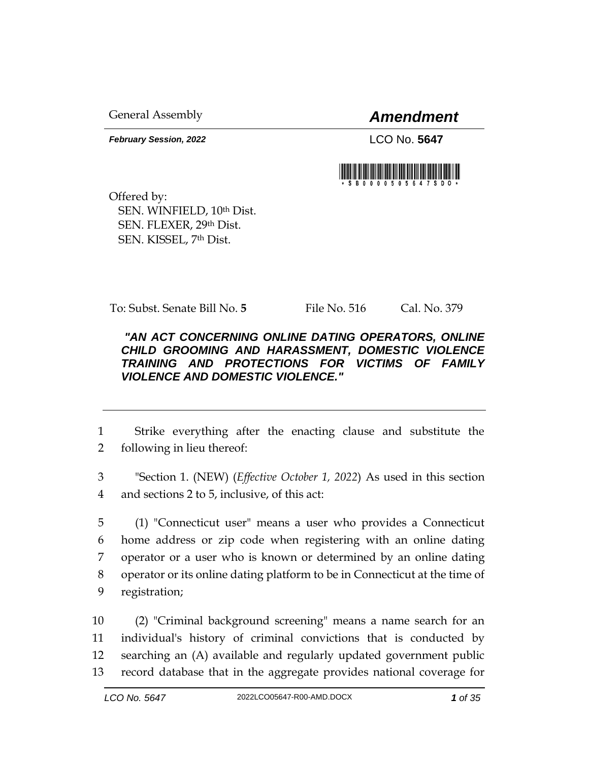General Assembly *Amendment*

*February Session, 2022* LCO No. 5647

Offered by: SEN. WINFIELD, 10th Dist. SEN. FLEXER, 29th Dist. SEN. KISSEL, 7th Dist.

To: Subst. Senate Bill No. 5 File No. 516 Cal. No. 379

## *"AN ACT CONCERNING ONLINE DATING OPERATORS, ONLINE CHILD GROOMING AND HARASSMENT, DOMESTIC VIOLENCE TRAINING AND PROTECTIONS FOR VICTIMS OF FAMILY VIOLENCE AND DOMESTIC VIOLENCE."*

1 Strike everything after the enacting clause and substitute the 2 following in lieu thereof:

3 "Section 1. (NEW) (*Effective October 1, 2022*) As used in this section 4 and sections 2 to 5, inclusive, of this act:

 (1) "Connecticut user" means a user who provides a Connecticut home address or zip code when registering with an online dating operator or a user who is known or determined by an online dating operator or its online dating platform to be in Connecticut at the time of registration;

 (2) "Criminal background screening" means a name search for an individual's history of criminal convictions that is conducted by searching an (A) available and regularly updated government public record database that in the aggregate provides national coverage for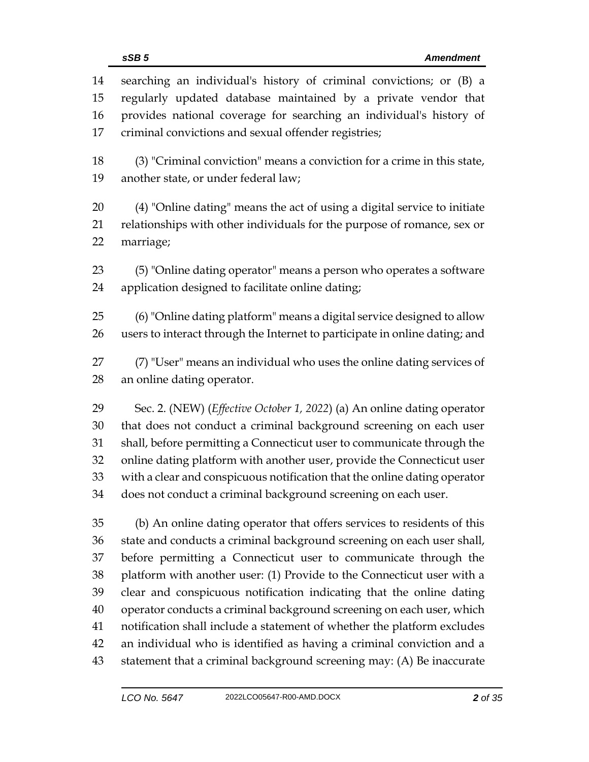| 14<br>15 | searching an individual's history of criminal convictions; or (B) a<br>regularly updated database maintained by a private vendor that |
|----------|---------------------------------------------------------------------------------------------------------------------------------------|
| 16       | provides national coverage for searching an individual's history of                                                                   |
| 17       | criminal convictions and sexual offender registries;                                                                                  |
| 18       | (3) "Criminal conviction" means a conviction for a crime in this state,                                                               |
| 19       | another state, or under federal law;                                                                                                  |
| 20       | (4) "Online dating" means the act of using a digital service to initiate                                                              |
| 21       | relationships with other individuals for the purpose of romance, sex or                                                               |
| 22       | marriage;                                                                                                                             |
| 23       | (5) "Online dating operator" means a person who operates a software                                                                   |
| 24       | application designed to facilitate online dating;                                                                                     |
| 25       | (6) "Online dating platform" means a digital service designed to allow                                                                |
| 26       | users to interact through the Internet to participate in online dating; and                                                           |
| 27       | (7) "User" means an individual who uses the online dating services of                                                                 |
| 28       | an online dating operator.                                                                                                            |
| 29       | Sec. 2. (NEW) (Effective October 1, 2022) (a) An online dating operator                                                               |
| 30       | that does not conduct a criminal background screening on each user                                                                    |
| 31       | shall, before permitting a Connecticut user to communicate through the                                                                |
| 32       | online dating platform with another user, provide the Connecticut user                                                                |
| 33       | with a clear and conspicuous notification that the online dating operator                                                             |
| 34       | does not conduct a criminal background screening on each user.                                                                        |
| 35       | (b) An online dating operator that offers services to residents of this                                                               |
| 36       | state and conducts a criminal background screening on each user shall,                                                                |
| 37       | before permitting a Connecticut user to communicate through the                                                                       |
| 38       | platform with another user: (1) Provide to the Connecticut user with a                                                                |
| 39       | clear and conspicuous notification indicating that the online dating                                                                  |
| 40       | operator conducts a criminal background screening on each user, which                                                                 |
| 41       | notification shall include a statement of whether the platform excludes                                                               |
| 42       | an individual who is identified as having a criminal conviction and a                                                                 |
| 43       | statement that a criminal background screening may: (A) Be inaccurate                                                                 |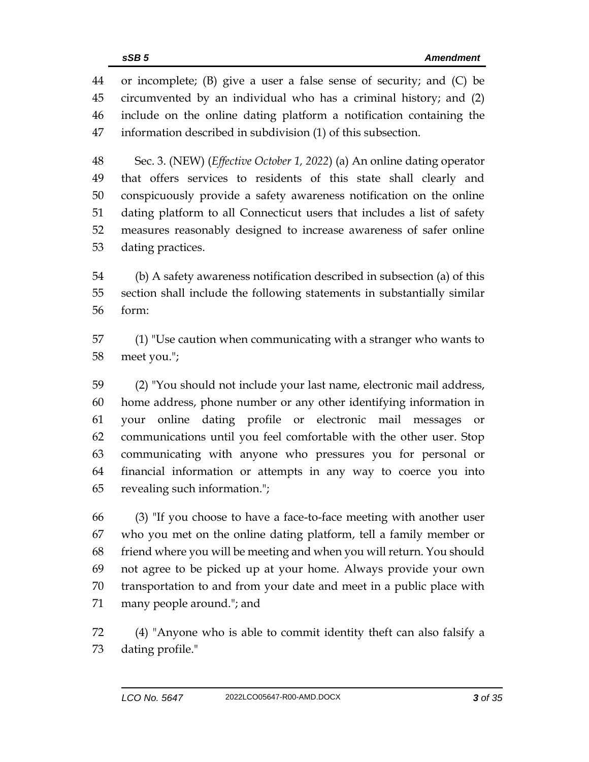or incomplete; (B) give a user a false sense of security; and (C) be circumvented by an individual who has a criminal history; and (2) include on the online dating platform a notification containing the information described in subdivision (1) of this subsection.

 Sec. 3. (NEW) (*Effective October 1, 2022*) (a) An online dating operator that offers services to residents of this state shall clearly and conspicuously provide a safety awareness notification on the online dating platform to all Connecticut users that includes a list of safety measures reasonably designed to increase awareness of safer online dating practices.

 (b) A safety awareness notification described in subsection (a) of this section shall include the following statements in substantially similar form:

 (1) "Use caution when communicating with a stranger who wants to meet you.";

 (2) "You should not include your last name, electronic mail address, home address, phone number or any other identifying information in your online dating profile or electronic mail messages or communications until you feel comfortable with the other user. Stop communicating with anyone who pressures you for personal or financial information or attempts in any way to coerce you into revealing such information.";

 (3) "If you choose to have a face-to-face meeting with another user who you met on the online dating platform, tell a family member or friend where you will be meeting and when you will return. You should not agree to be picked up at your home. Always provide your own transportation to and from your date and meet in a public place with many people around."; and

 (4) "Anyone who is able to commit identity theft can also falsify a dating profile."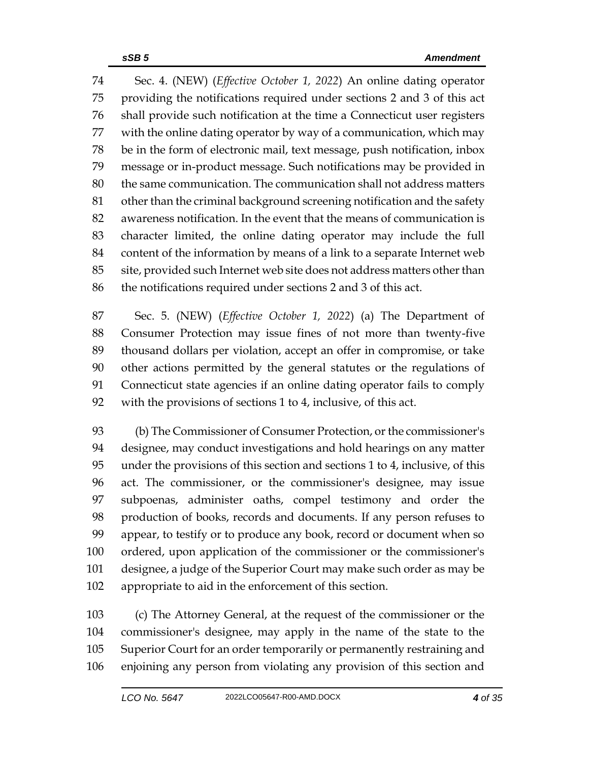Sec. 4. (NEW) (*Effective October 1, 2022*) An online dating operator providing the notifications required under sections 2 and 3 of this act shall provide such notification at the time a Connecticut user registers with the online dating operator by way of a communication, which may be in the form of electronic mail, text message, push notification, inbox message or in-product message. Such notifications may be provided in the same communication. The communication shall not address matters other than the criminal background screening notification and the safety awareness notification. In the event that the means of communication is character limited, the online dating operator may include the full content of the information by means of a link to a separate Internet web site, provided such Internet web site does not address matters other than the notifications required under sections 2 and 3 of this act.

 Sec. 5. (NEW) (*Effective October 1, 2022*) (a) The Department of Consumer Protection may issue fines of not more than twenty-five thousand dollars per violation, accept an offer in compromise, or take other actions permitted by the general statutes or the regulations of Connecticut state agencies if an online dating operator fails to comply with the provisions of sections 1 to 4, inclusive, of this act.

 (b) The Commissioner of Consumer Protection, or the commissioner's designee, may conduct investigations and hold hearings on any matter under the provisions of this section and sections 1 to 4, inclusive, of this act. The commissioner, or the commissioner's designee, may issue subpoenas, administer oaths, compel testimony and order the production of books, records and documents. If any person refuses to appear, to testify or to produce any book, record or document when so ordered, upon application of the commissioner or the commissioner's designee, a judge of the Superior Court may make such order as may be appropriate to aid in the enforcement of this section.

 (c) The Attorney General, at the request of the commissioner or the commissioner's designee, may apply in the name of the state to the Superior Court for an order temporarily or permanently restraining and enjoining any person from violating any provision of this section and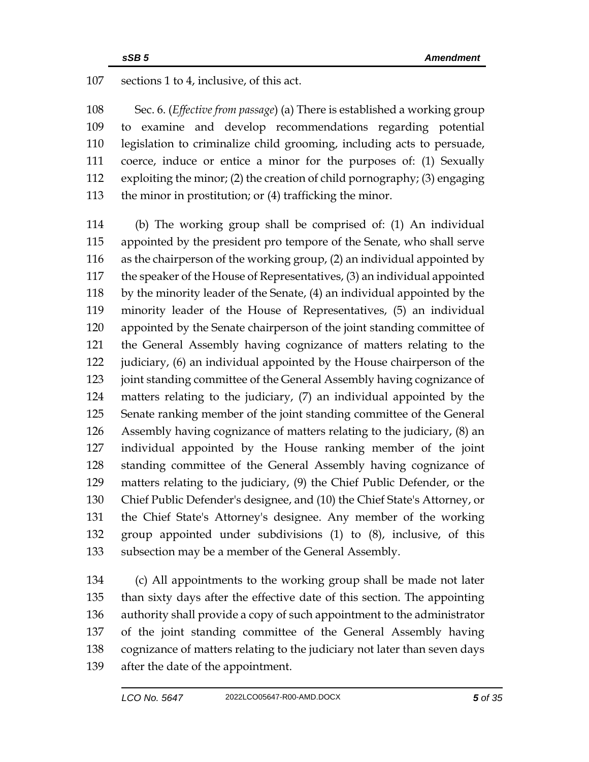sections 1 to 4, inclusive, of this act.

 Sec. 6. (*Effective from passage*) (a) There is established a working group to examine and develop recommendations regarding potential legislation to criminalize child grooming, including acts to persuade, coerce, induce or entice a minor for the purposes of: (1) Sexually exploiting the minor; (2) the creation of child pornography; (3) engaging 113 the minor in prostitution; or (4) trafficking the minor.

 (b) The working group shall be comprised of: (1) An individual appointed by the president pro tempore of the Senate, who shall serve as the chairperson of the working group, (2) an individual appointed by the speaker of the House of Representatives, (3) an individual appointed by the minority leader of the Senate, (4) an individual appointed by the minority leader of the House of Representatives, (5) an individual appointed by the Senate chairperson of the joint standing committee of the General Assembly having cognizance of matters relating to the 122 judiciary, (6) an individual appointed by the House chairperson of the 123 joint standing committee of the General Assembly having cognizance of matters relating to the judiciary, (7) an individual appointed by the Senate ranking member of the joint standing committee of the General Assembly having cognizance of matters relating to the judiciary, (8) an individual appointed by the House ranking member of the joint standing committee of the General Assembly having cognizance of matters relating to the judiciary, (9) the Chief Public Defender, or the Chief Public Defender's designee, and (10) the Chief State's Attorney, or the Chief State's Attorney's designee. Any member of the working group appointed under subdivisions (1) to (8), inclusive, of this subsection may be a member of the General Assembly.

 (c) All appointments to the working group shall be made not later than sixty days after the effective date of this section. The appointing authority shall provide a copy of such appointment to the administrator of the joint standing committee of the General Assembly having cognizance of matters relating to the judiciary not later than seven days after the date of the appointment.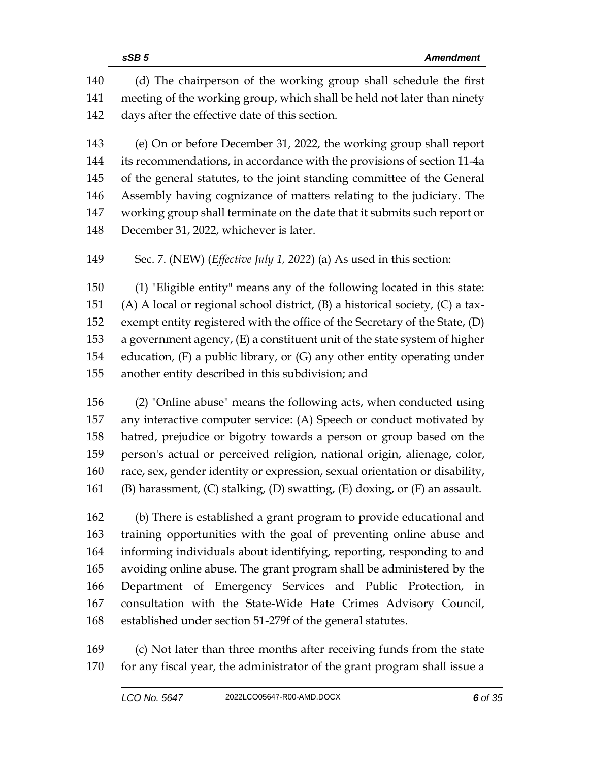(d) The chairperson of the working group shall schedule the first meeting of the working group, which shall be held not later than ninety days after the effective date of this section.

 (e) On or before December 31, 2022, the working group shall report its recommendations, in accordance with the provisions of section 11-4a of the general statutes, to the joint standing committee of the General Assembly having cognizance of matters relating to the judiciary. The working group shall terminate on the date that it submits such report or December 31, 2022, whichever is later.

Sec. 7. (NEW) (*Effective July 1, 2022*) (a) As used in this section:

 (1) "Eligible entity" means any of the following located in this state: (A) A local or regional school district, (B) a historical society, (C) a tax- exempt entity registered with the office of the Secretary of the State, (D) a government agency, (E) a constituent unit of the state system of higher education, (F) a public library, or (G) any other entity operating under another entity described in this subdivision; and

 (2) "Online abuse" means the following acts, when conducted using any interactive computer service: (A) Speech or conduct motivated by hatred, prejudice or bigotry towards a person or group based on the person's actual or perceived religion, national origin, alienage, color, race, sex, gender identity or expression, sexual orientation or disability, 161 (B) harassment,  $(C)$  stalking,  $(D)$  swatting,  $(E)$  doxing, or  $(F)$  an assault.

 (b) There is established a grant program to provide educational and training opportunities with the goal of preventing online abuse and informing individuals about identifying, reporting, responding to and avoiding online abuse. The grant program shall be administered by the Department of Emergency Services and Public Protection, in consultation with the State-Wide Hate Crimes Advisory Council, established under section 51-279f of the general statutes.

 (c) Not later than three months after receiving funds from the state for any fiscal year, the administrator of the grant program shall issue a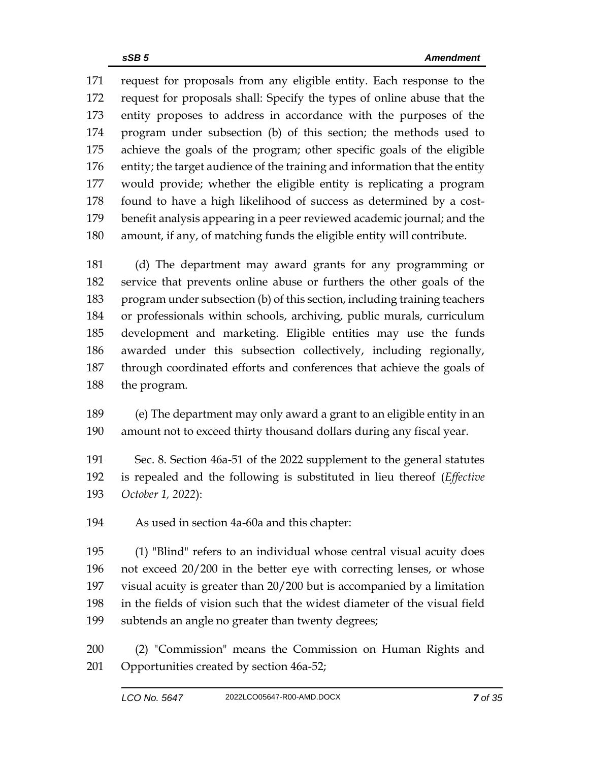request for proposals from any eligible entity. Each response to the request for proposals shall: Specify the types of online abuse that the entity proposes to address in accordance with the purposes of the program under subsection (b) of this section; the methods used to achieve the goals of the program; other specific goals of the eligible entity; the target audience of the training and information that the entity would provide; whether the eligible entity is replicating a program found to have a high likelihood of success as determined by a cost- benefit analysis appearing in a peer reviewed academic journal; and the amount, if any, of matching funds the eligible entity will contribute.

 (d) The department may award grants for any programming or service that prevents online abuse or furthers the other goals of the program under subsection (b) of this section, including training teachers or professionals within schools, archiving, public murals, curriculum development and marketing. Eligible entities may use the funds awarded under this subsection collectively, including regionally, through coordinated efforts and conferences that achieve the goals of the program.

 (e) The department may only award a grant to an eligible entity in an amount not to exceed thirty thousand dollars during any fiscal year.

 Sec. 8. Section 46a-51 of the 2022 supplement to the general statutes is repealed and the following is substituted in lieu thereof (*Effective October 1, 2022*):

As used in section 4a-60a and this chapter:

 (1) "Blind" refers to an individual whose central visual acuity does not exceed 20/200 in the better eye with correcting lenses, or whose visual acuity is greater than 20/200 but is accompanied by a limitation in the fields of vision such that the widest diameter of the visual field subtends an angle no greater than twenty degrees;

 (2) "Commission" means the Commission on Human Rights and Opportunities created by section 46a-52;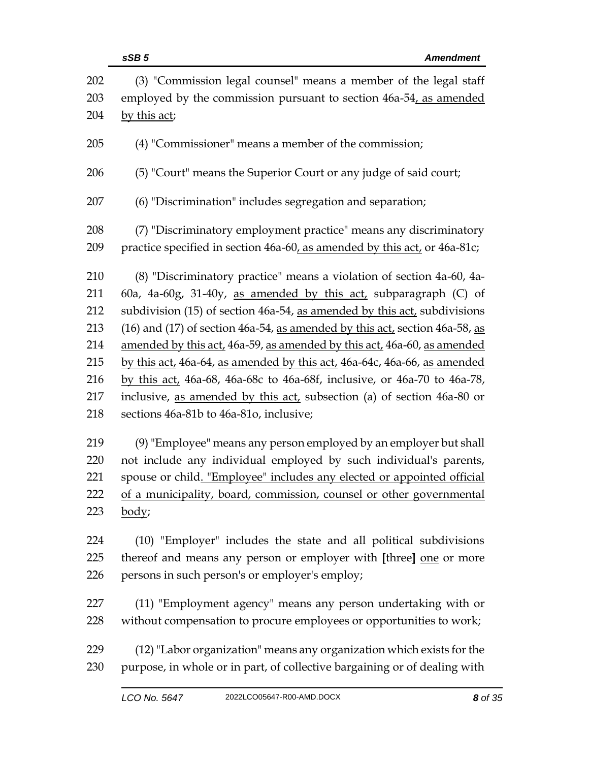|            | sSB <sub>5</sub><br><b>Amendment</b>                                                                                                  |
|------------|---------------------------------------------------------------------------------------------------------------------------------------|
| 202<br>203 | (3) "Commission legal counsel" means a member of the legal staff<br>employed by the commission pursuant to section 46a-54, as amended |
| 204        | by this act;                                                                                                                          |
| 205        | (4) "Commissioner" means a member of the commission;                                                                                  |
| 206        | (5) "Court" means the Superior Court or any judge of said court;                                                                      |
| 207        | (6) "Discrimination" includes segregation and separation;                                                                             |
| 208        | (7) "Discriminatory employment practice" means any discriminatory                                                                     |
| 209        | practice specified in section 46a-60, as amended by this act, or 46a-81c;                                                             |
| 210        | (8) "Discriminatory practice" means a violation of section 4a-60, 4a-                                                                 |
| 211        | 60a, 4a-60g, 31-40y, as amended by this $act$ , subparagraph (C) of                                                                   |
| 212        | subdivision (15) of section 46a-54, as amended by this act, subdivisions                                                              |
| 213        | (16) and (17) of section 46a-54, as amended by this act, section 46a-58, as                                                           |
| 214        | amended by this act, 46a-59, as amended by this act, 46a-60, as amended                                                               |
| 215        | by this act, 46a-64, as amended by this act, 46a-64c, 46a-66, as amended                                                              |
| 216        | by this act, 46a-68, 46a-68c to 46a-68f, inclusive, or 46a-70 to 46a-78,                                                              |
| 217        | inclusive, as amended by this act, subsection (a) of section 46a-80 or                                                                |
| 218        | sections 46a-81b to 46a-81o, inclusive;                                                                                               |
| 219        | (9) "Employee" means any person employed by an employer but shall                                                                     |
| 220        | not include any individual employed by such individual's parents,                                                                     |
| 221        | spouse or child. "Employee" includes any elected or appointed official                                                                |
| 222        | of a municipality, board, commission, counsel or other governmental                                                                   |
| 223        | body;                                                                                                                                 |
| 224        | (10) "Employer" includes the state and all political subdivisions                                                                     |
| 225        | thereof and means any person or employer with [three] one or more                                                                     |
| 226        | persons in such person's or employer's employ;                                                                                        |
| 227        | (11) "Employment agency" means any person undertaking with or                                                                         |
| 228        | without compensation to procure employees or opportunities to work;                                                                   |
| 229        | (12) "Labor organization" means any organization which exists for the                                                                 |
| 230        | purpose, in whole or in part, of collective bargaining or of dealing with                                                             |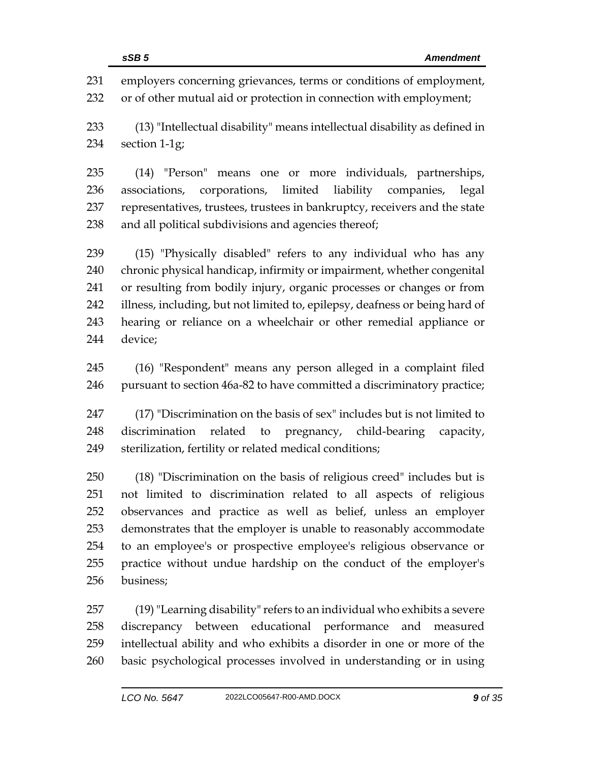employers concerning grievances, terms or conditions of employment, or of other mutual aid or protection in connection with employment; (13) "Intellectual disability" means intellectual disability as defined in section 1-1g; (14) "Person" means one or more individuals, partnerships, associations, corporations, limited liability companies, legal representatives, trustees, trustees in bankruptcy, receivers and the state and all political subdivisions and agencies thereof; (15) "Physically disabled" refers to any individual who has any chronic physical handicap, infirmity or impairment, whether congenital or resulting from bodily injury, organic processes or changes or from illness, including, but not limited to, epilepsy, deafness or being hard of hearing or reliance on a wheelchair or other remedial appliance or device; (16) "Respondent" means any person alleged in a complaint filed pursuant to section 46a-82 to have committed a discriminatory practice;

 (17) "Discrimination on the basis of sex" includes but is not limited to discrimination related to pregnancy, child-bearing capacity, sterilization, fertility or related medical conditions;

 (18) "Discrimination on the basis of religious creed" includes but is not limited to discrimination related to all aspects of religious observances and practice as well as belief, unless an employer demonstrates that the employer is unable to reasonably accommodate to an employee's or prospective employee's religious observance or practice without undue hardship on the conduct of the employer's business;

 (19)"Learning disability" refers to an individual who exhibits a severe discrepancy between educational performance and measured intellectual ability and who exhibits a disorder in one or more of the basic psychological processes involved in understanding or in using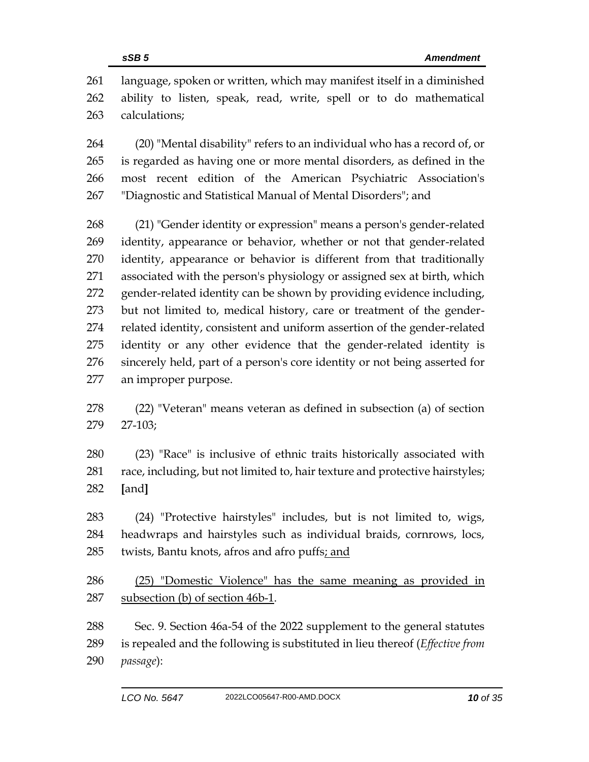language, spoken or written, which may manifest itself in a diminished ability to listen, speak, read, write, spell or to do mathematical calculations;

 (20) "Mental disability" refers to an individual who has a record of, or is regarded as having one or more mental disorders, as defined in the most recent edition of the American Psychiatric Association's "Diagnostic and Statistical Manual of Mental Disorders"; and

 (21) "Gender identity or expression" means a person's gender-related identity, appearance or behavior, whether or not that gender-related identity, appearance or behavior is different from that traditionally associated with the person's physiology or assigned sex at birth, which gender-related identity can be shown by providing evidence including, but not limited to, medical history, care or treatment of the gender- related identity, consistent and uniform assertion of the gender-related identity or any other evidence that the gender-related identity is sincerely held, part of a person's core identity or not being asserted for an improper purpose.

- (22) "Veteran" means veteran as defined in subsection (a) of section 27-103;
- (23) "Race" is inclusive of ethnic traits historically associated with race, including, but not limited to, hair texture and protective hairstyles; **[**and**]**
- (24) "Protective hairstyles" includes, but is not limited to, wigs, headwraps and hairstyles such as individual braids, cornrows, locs, twists, Bantu knots, afros and afro puffs; and
- (25) "Domestic Violence" has the same meaning as provided in subsection (b) of section 46b-1.
- Sec. 9. Section 46a-54 of the 2022 supplement to the general statutes is repealed and the following is substituted in lieu thereof (*Effective from passage*):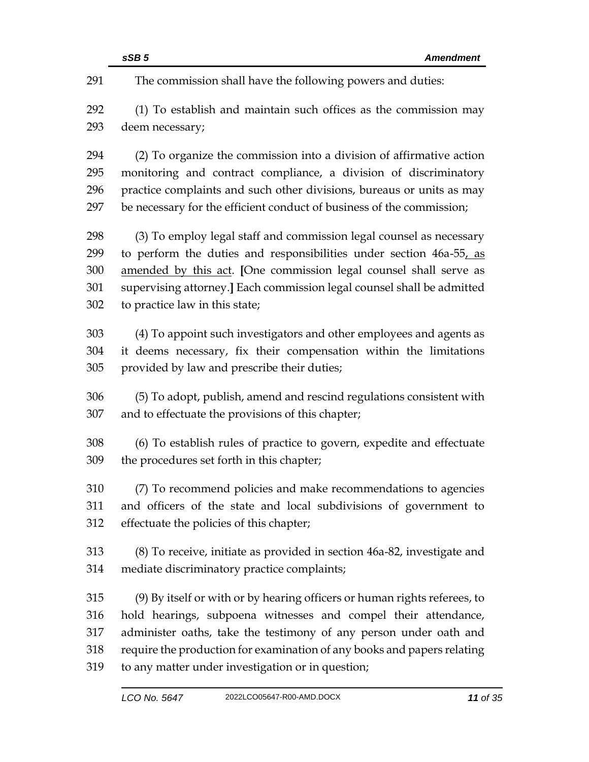|     | sSB <sub>5</sub><br><b>Amendment</b>                                      |
|-----|---------------------------------------------------------------------------|
| 291 | The commission shall have the following powers and duties:                |
| 292 | (1) To establish and maintain such offices as the commission may          |
| 293 | deem necessary;                                                           |
| 294 | (2) To organize the commission into a division of affirmative action      |
| 295 | monitoring and contract compliance, a division of discriminatory          |
| 296 | practice complaints and such other divisions, bureaus or units as may     |
| 297 | be necessary for the efficient conduct of business of the commission;     |
| 298 | (3) To employ legal staff and commission legal counsel as necessary       |
| 299 | to perform the duties and responsibilities under section 46a-55, as       |
| 300 | amended by this act. [One commission legal counsel shall serve as         |
| 301 | supervising attorney.] Each commission legal counsel shall be admitted    |
| 302 | to practice law in this state;                                            |
| 303 | (4) To appoint such investigators and other employees and agents as       |
| 304 | it deems necessary, fix their compensation within the limitations         |
| 305 | provided by law and prescribe their duties;                               |
| 306 | (5) To adopt, publish, amend and rescind regulations consistent with      |
| 307 | and to effectuate the provisions of this chapter;                         |
| 308 | (6) To establish rules of practice to govern, expedite and effectuate     |
| 309 | the procedures set forth in this chapter;                                 |
| 310 | (7) To recommend policies and make recommendations to agencies            |
| 311 | and officers of the state and local subdivisions of government to         |
| 312 | effectuate the policies of this chapter;                                  |
| 313 | (8) To receive, initiate as provided in section 46a-82, investigate and   |
| 314 | mediate discriminatory practice complaints;                               |
| 315 | (9) By itself or with or by hearing officers or human rights referees, to |
| 316 | hold hearings, subpoena witnesses and compel their attendance,            |
| 317 | administer oaths, take the testimony of any person under oath and         |
| 318 | require the production for examination of any books and papers relating   |
| 319 | to any matter under investigation or in question;                         |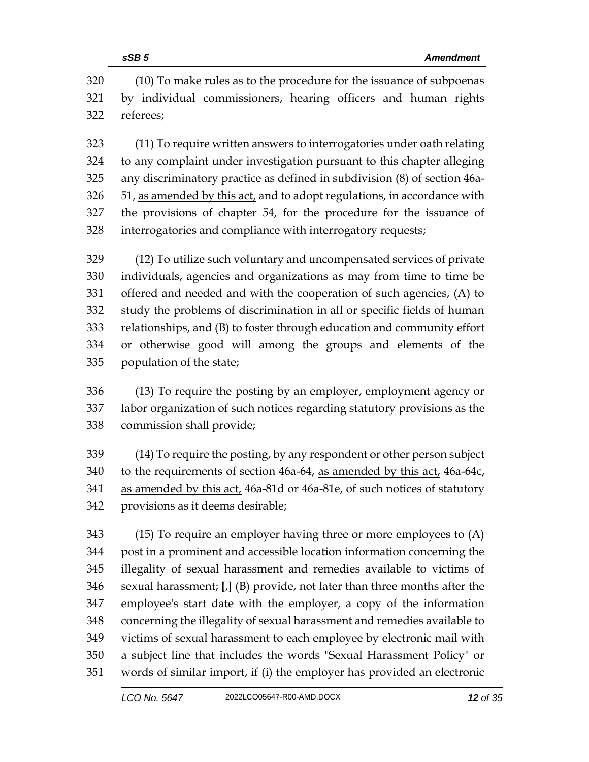(10) To make rules as to the procedure for the issuance of subpoenas by individual commissioners, hearing officers and human rights referees;

 (11) To require written answers to interrogatories under oath relating to any complaint under investigation pursuant to this chapter alleging any discriminatory practice as defined in subdivision (8) of section 46a- 51, as amended by this act, and to adopt regulations, in accordance with the provisions of chapter 54, for the procedure for the issuance of interrogatories and compliance with interrogatory requests;

 (12) To utilize such voluntary and uncompensated services of private individuals, agencies and organizations as may from time to time be offered and needed and with the cooperation of such agencies, (A) to study the problems of discrimination in all or specific fields of human relationships, and (B) to foster through education and community effort or otherwise good will among the groups and elements of the population of the state;

 (13) To require the posting by an employer, employment agency or labor organization of such notices regarding statutory provisions as the commission shall provide;

 (14) To require the posting, by any respondent or other person subject to the requirements of section 46a-64, as amended by this act, 46a-64c, as amended by this act, 46a-81d or 46a-81e, of such notices of statutory provisions as it deems desirable;

 (15) To require an employer having three or more employees to (A) post in a prominent and accessible location information concerning the illegality of sexual harassment and remedies available to victims of sexual harassment; **[**,**]** (B) provide, not later than three months after the employee's start date with the employer, a copy of the information concerning the illegality of sexual harassment and remedies available to victims of sexual harassment to each employee by electronic mail with a subject line that includes the words "Sexual Harassment Policy" or words of similar import, if (i) the employer has provided an electronic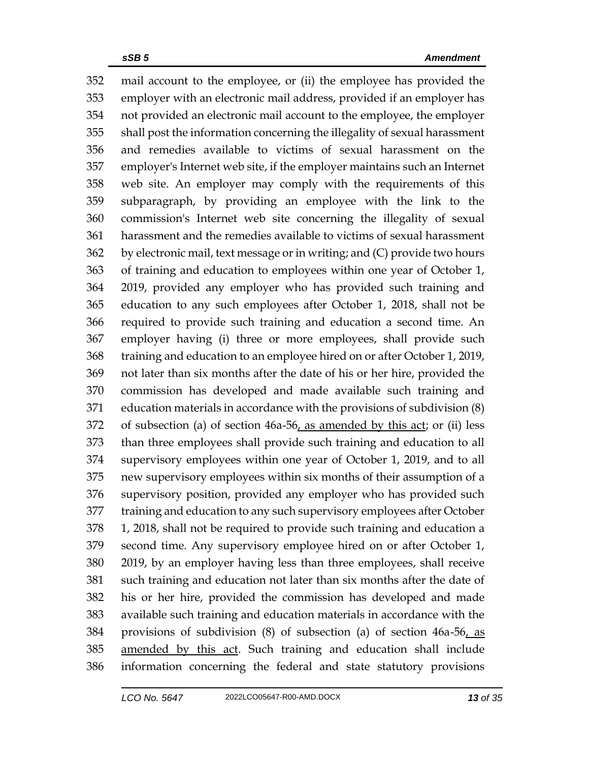mail account to the employee, or (ii) the employee has provided the employer with an electronic mail address, provided if an employer has not provided an electronic mail account to the employee, the employer shall post the information concerning the illegality of sexual harassment and remedies available to victims of sexual harassment on the employer's Internet web site, if the employer maintains such an Internet web site. An employer may comply with the requirements of this subparagraph, by providing an employee with the link to the commission's Internet web site concerning the illegality of sexual harassment and the remedies available to victims of sexual harassment by electronic mail, text message or in writing; and (C) provide two hours of training and education to employees within one year of October 1, 2019, provided any employer who has provided such training and education to any such employees after October 1, 2018, shall not be required to provide such training and education a second time. An employer having (i) three or more employees, shall provide such training and education to an employee hired on or after October 1, 2019, not later than six months after the date of his or her hire, provided the commission has developed and made available such training and education materials in accordance with the provisions of subdivision (8) of subsection (a) of section 46a-56, as amended by this act; or (ii) less than three employees shall provide such training and education to all supervisory employees within one year of October 1, 2019, and to all new supervisory employees within six months of their assumption of a supervisory position, provided any employer who has provided such training and education to any such supervisory employees after October 1, 2018, shall not be required to provide such training and education a second time. Any supervisory employee hired on or after October 1, 2019, by an employer having less than three employees, shall receive such training and education not later than six months after the date of his or her hire, provided the commission has developed and made available such training and education materials in accordance with the provisions of subdivision (8) of subsection (a) of section 46a-56, as amended by this act. Such training and education shall include information concerning the federal and state statutory provisions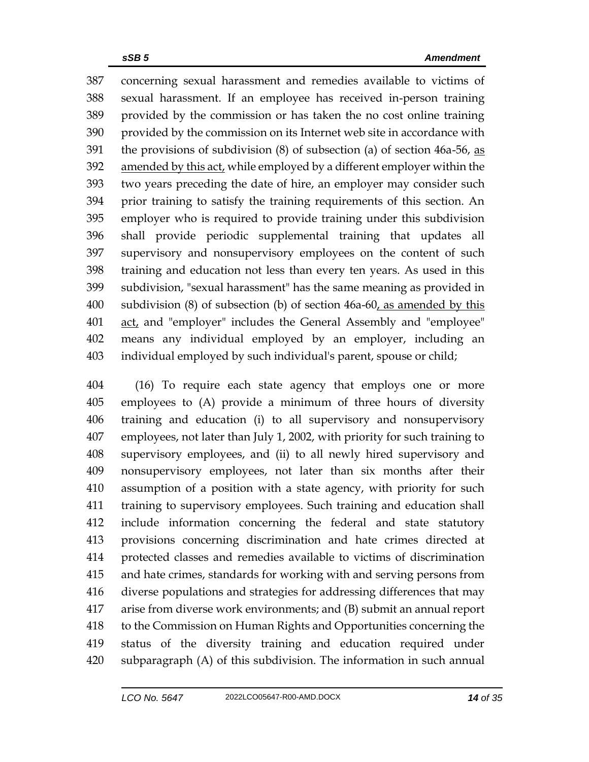concerning sexual harassment and remedies available to victims of sexual harassment. If an employee has received in-person training provided by the commission or has taken the no cost online training provided by the commission on its Internet web site in accordance with 391 the provisions of subdivision  $(8)$  of subsection  $(a)$  of section 46a-56, as amended by this act, while employed by a different employer within the two years preceding the date of hire, an employer may consider such prior training to satisfy the training requirements of this section. An employer who is required to provide training under this subdivision shall provide periodic supplemental training that updates all supervisory and nonsupervisory employees on the content of such training and education not less than every ten years. As used in this subdivision, "sexual harassment" has the same meaning as provided in 400 subdivision (8) of subsection (b) of section 46a-60, as amended by this 401 act, and "employer" includes the General Assembly and "employee" means any individual employed by an employer, including an individual employed by such individual's parent, spouse or child;

 (16) To require each state agency that employs one or more employees to (A) provide a minimum of three hours of diversity training and education (i) to all supervisory and nonsupervisory employees, not later than July 1, 2002, with priority for such training to supervisory employees, and (ii) to all newly hired supervisory and nonsupervisory employees, not later than six months after their assumption of a position with a state agency, with priority for such training to supervisory employees. Such training and education shall include information concerning the federal and state statutory provisions concerning discrimination and hate crimes directed at protected classes and remedies available to victims of discrimination and hate crimes, standards for working with and serving persons from diverse populations and strategies for addressing differences that may arise from diverse work environments; and (B) submit an annual report to the Commission on Human Rights and Opportunities concerning the status of the diversity training and education required under subparagraph (A) of this subdivision. The information in such annual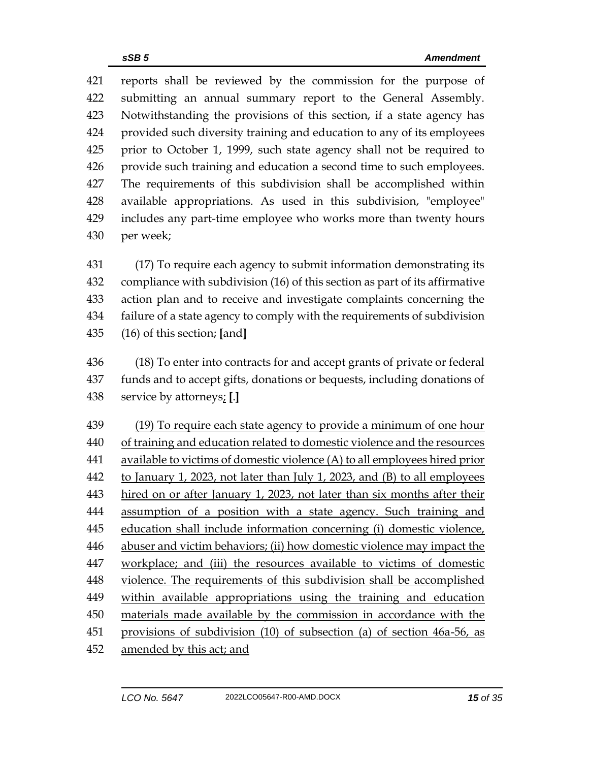reports shall be reviewed by the commission for the purpose of submitting an annual summary report to the General Assembly. Notwithstanding the provisions of this section, if a state agency has provided such diversity training and education to any of its employees prior to October 1, 1999, such state agency shall not be required to provide such training and education a second time to such employees. The requirements of this subdivision shall be accomplished within available appropriations. As used in this subdivision, "employee" includes any part-time employee who works more than twenty hours per week;

 (17) To require each agency to submit information demonstrating its compliance with subdivision (16) of this section as part of its affirmative action plan and to receive and investigate complaints concerning the failure of a state agency to comply with the requirements of subdivision (16) of this section; **[**and**]**

 (18) To enter into contracts for and accept grants of private or federal funds and to accept gifts, donations or bequests, including donations of service by attorneys; **[**.**]**

 (19) To require each state agency to provide a minimum of one hour of training and education related to domestic violence and the resources available to victims of domestic violence (A) to all employees hired prior to January 1, 2023, not later than July 1, 2023, and (B) to all employees hired on or after January 1, 2023, not later than six months after their assumption of a position with a state agency. Such training and 445 education shall include information concerning (i) domestic violence, abuser and victim behaviors; (ii) how domestic violence may impact the workplace; and (iii) the resources available to victims of domestic violence. The requirements of this subdivision shall be accomplished within available appropriations using the training and education materials made available by the commission in accordance with the provisions of subdivision (10) of subsection (a) of section 46a-56, as amended by this act; and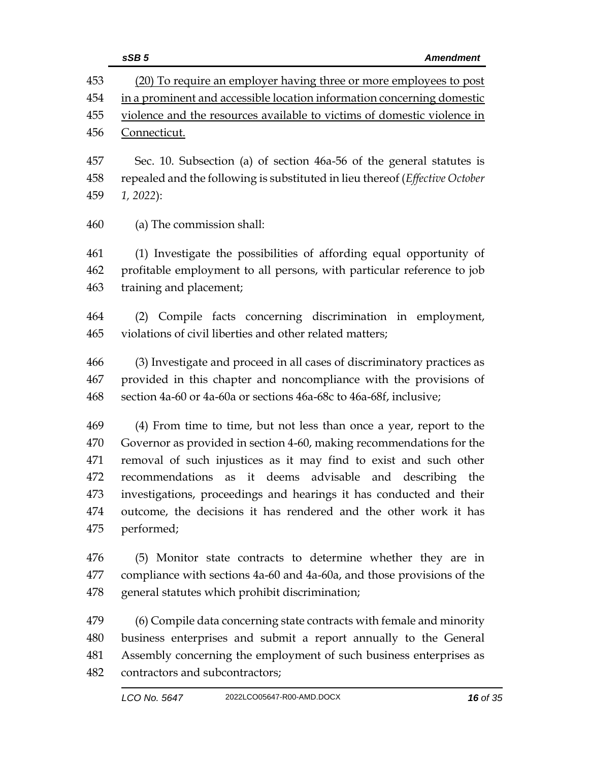|            | sSB <sub>5</sub><br><b>Amendment</b>                                                                                                                 |
|------------|------------------------------------------------------------------------------------------------------------------------------------------------------|
| 453        | (20) To require an employer having three or more employees to post                                                                                   |
| 454        | in a prominent and accessible location information concerning domestic                                                                               |
| 455        | violence and the resources available to victims of domestic violence in                                                                              |
| 456        | Connecticut.                                                                                                                                         |
|            |                                                                                                                                                      |
| 457<br>458 | Sec. 10. Subsection (a) of section 46a-56 of the general statutes is<br>repealed and the following is substituted in lieu thereof (Effective October |
| 459        | $1, 2022$ :                                                                                                                                          |
|            |                                                                                                                                                      |
| 460        | (a) The commission shall:                                                                                                                            |
| 461        | (1) Investigate the possibilities of affording equal opportunity of                                                                                  |
| 462        | profitable employment to all persons, with particular reference to job                                                                               |
| 463        | training and placement;                                                                                                                              |
| 464        | (2) Compile facts concerning discrimination in employment,                                                                                           |
| 465        | violations of civil liberties and other related matters;                                                                                             |
| 466        | (3) Investigate and proceed in all cases of discriminatory practices as                                                                              |
| 467        | provided in this chapter and noncompliance with the provisions of                                                                                    |
| 468        | section 4a-60 or 4a-60a or sections 46a-68c to 46a-68f, inclusive;                                                                                   |
| 469        | (4) From time to time, but not less than once a year, report to the                                                                                  |
| 470        | Governor as provided in section 4-60, making recommendations for the                                                                                 |
| 471        | removal of such injustices as it may find to exist and such other                                                                                    |
| 472        | it deems advisable<br>recommendations as<br>and describing<br>the                                                                                    |
| 473        | investigations, proceedings and hearings it has conducted and their                                                                                  |
| 474        | outcome, the decisions it has rendered and the other work it has                                                                                     |
| 475        | performed;                                                                                                                                           |
| 476        | (5) Monitor state contracts to determine whether they are in                                                                                         |
| 477        | compliance with sections 4a-60 and 4a-60a, and those provisions of the                                                                               |
| 478        | general statutes which prohibit discrimination;                                                                                                      |
| 479        | (6) Compile data concerning state contracts with female and minority                                                                                 |
| 480        | business enterprises and submit a report annually to the General                                                                                     |
| 481        | Assembly concerning the employment of such business enterprises as                                                                                   |
| 482        | contractors and subcontractors;                                                                                                                      |
|            |                                                                                                                                                      |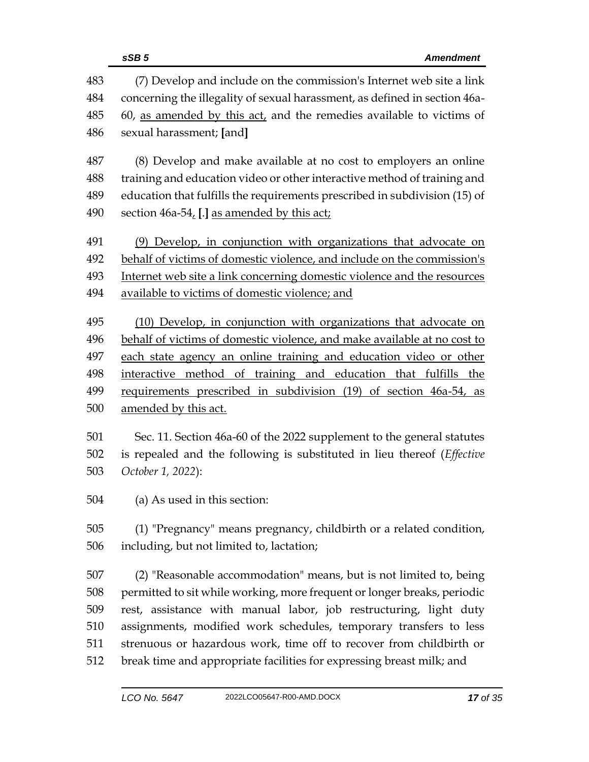|     | sSB <sub>5</sub><br><b>Amendment</b>                                       |  |  |
|-----|----------------------------------------------------------------------------|--|--|
| 483 | (7) Develop and include on the commission's Internet web site a link       |  |  |
| 484 | concerning the illegality of sexual harassment, as defined in section 46a- |  |  |
| 485 | 60, as amended by this act, and the remedies available to victims of       |  |  |
| 486 | sexual harassment; [and]                                                   |  |  |
| 487 | (8) Develop and make available at no cost to employers an online           |  |  |
| 488 | training and education video or other interactive method of training and   |  |  |
| 489 | education that fulfills the requirements prescribed in subdivision (15) of |  |  |
| 490 | section 46a-54, [.] as amended by this act;                                |  |  |
| 491 | (9) Develop, in conjunction with organizations that advocate on            |  |  |
| 492 | behalf of victims of domestic violence, and include on the commission's    |  |  |
| 493 | Internet web site a link concerning domestic violence and the resources    |  |  |
| 494 | available to victims of domestic violence; and                             |  |  |
| 495 | (10) Develop, in conjunction with organizations that advocate on           |  |  |
| 496 | behalf of victims of domestic violence, and make available at no cost to   |  |  |
| 497 | each state agency an online training and education video or other          |  |  |
| 498 | interactive method of training and education that fulfills the             |  |  |
| 499 | requirements prescribed in subdivision (19) of section 46a-54, as          |  |  |
| 500 | amended by this act.                                                       |  |  |
| 501 | Sec. 11. Section 46a-60 of the 2022 supplement to the general statutes     |  |  |
| 502 | is repealed and the following is substituted in lieu thereof (Effective    |  |  |
| 503 | October 1, 2022):                                                          |  |  |
| 504 | (a) As used in this section:                                               |  |  |
| 505 | (1) "Pregnancy" means pregnancy, childbirth or a related condition,        |  |  |
| 506 | including, but not limited to, lactation;                                  |  |  |
| 507 | (2) "Reasonable accommodation" means, but is not limited to, being         |  |  |
| 508 | permitted to sit while working, more frequent or longer breaks, periodic   |  |  |
| 509 | rest, assistance with manual labor, job restructuring, light duty          |  |  |
| 510 | assignments, modified work schedules, temporary transfers to less          |  |  |
| 511 | strenuous or hazardous work, time off to recover from childbirth or        |  |  |
| 512 | break time and appropriate facilities for expressing breast milk; and      |  |  |
|     |                                                                            |  |  |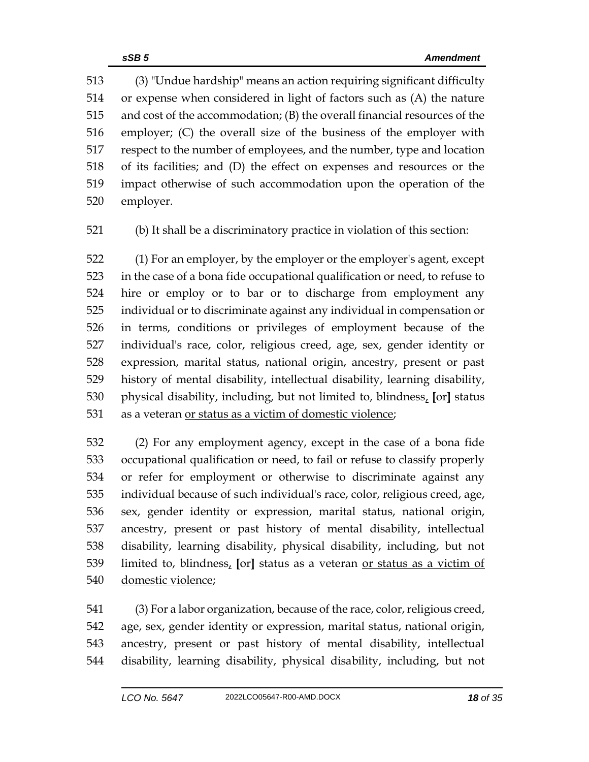(3) "Undue hardship" means an action requiring significant difficulty or expense when considered in light of factors such as (A) the nature and cost of the accommodation; (B) the overall financial resources of the employer; (C) the overall size of the business of the employer with respect to the number of employees, and the number, type and location of its facilities; and (D) the effect on expenses and resources or the impact otherwise of such accommodation upon the operation of the employer.

(b) It shall be a discriminatory practice in violation of this section:

 (1) For an employer, by the employer or the employer's agent, except in the case of a bona fide occupational qualification or need, to refuse to hire or employ or to bar or to discharge from employment any individual or to discriminate against any individual in compensation or in terms, conditions or privileges of employment because of the individual's race, color, religious creed, age, sex, gender identity or expression, marital status, national origin, ancestry, present or past history of mental disability, intellectual disability, learning disability, physical disability, including, but not limited to, blindness, **[**or**]** status as a veteran or status as a victim of domestic violence;

 (2) For any employment agency, except in the case of a bona fide occupational qualification or need, to fail or refuse to classify properly or refer for employment or otherwise to discriminate against any individual because of such individual's race, color, religious creed, age, sex, gender identity or expression, marital status, national origin, ancestry, present or past history of mental disability, intellectual disability, learning disability, physical disability, including, but not limited to, blindness, **[**or**]** status as a veteran or status as a victim of domestic violence;

 (3) For a labor organization, because of the race, color, religious creed, age, sex, gender identity or expression, marital status, national origin, ancestry, present or past history of mental disability, intellectual disability, learning disability, physical disability, including, but not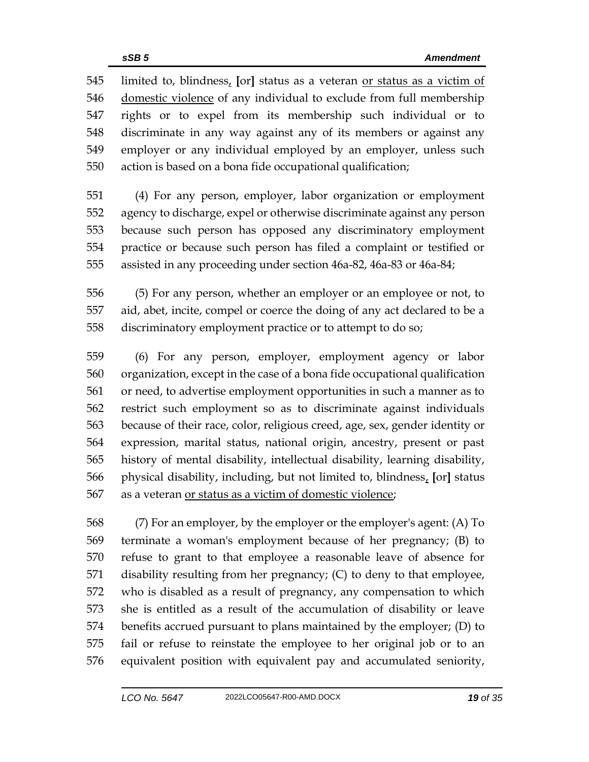limited to, blindness, **[**or**]** status as a veteran or status as a victim of domestic violence of any individual to exclude from full membership rights or to expel from its membership such individual or to discriminate in any way against any of its members or against any employer or any individual employed by an employer, unless such action is based on a bona fide occupational qualification;

 (4) For any person, employer, labor organization or employment agency to discharge, expel or otherwise discriminate against any person because such person has opposed any discriminatory employment practice or because such person has filed a complaint or testified or assisted in any proceeding under section 46a-82, 46a-83 or 46a-84;

 (5) For any person, whether an employer or an employee or not, to aid, abet, incite, compel or coerce the doing of any act declared to be a discriminatory employment practice or to attempt to do so;

 (6) For any person, employer, employment agency or labor organization, except in the case of a bona fide occupational qualification or need, to advertise employment opportunities in such a manner as to restrict such employment so as to discriminate against individuals because of their race, color, religious creed, age, sex, gender identity or expression, marital status, national origin, ancestry, present or past history of mental disability, intellectual disability, learning disability, physical disability, including, but not limited to, blindness, **[**or**]** status as a veteran or status as a victim of domestic violence;

 (7) For an employer, by the employer or the employer's agent: (A) To terminate a woman's employment because of her pregnancy; (B) to refuse to grant to that employee a reasonable leave of absence for disability resulting from her pregnancy; (C) to deny to that employee, who is disabled as a result of pregnancy, any compensation to which she is entitled as a result of the accumulation of disability or leave benefits accrued pursuant to plans maintained by the employer; (D) to fail or refuse to reinstate the employee to her original job or to an equivalent position with equivalent pay and accumulated seniority,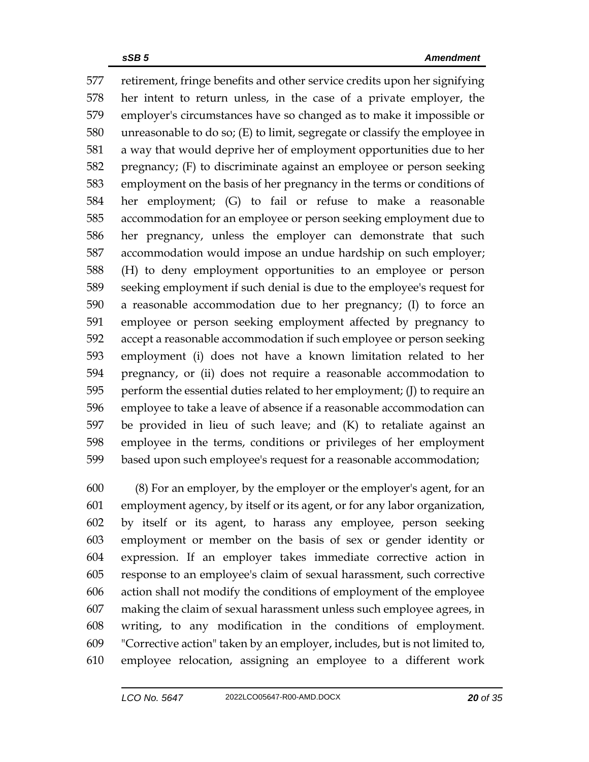retirement, fringe benefits and other service credits upon her signifying her intent to return unless, in the case of a private employer, the employer's circumstances have so changed as to make it impossible or unreasonable to do so; (E) to limit, segregate or classify the employee in a way that would deprive her of employment opportunities due to her pregnancy; (F) to discriminate against an employee or person seeking employment on the basis of her pregnancy in the terms or conditions of her employment; (G) to fail or refuse to make a reasonable accommodation for an employee or person seeking employment due to her pregnancy, unless the employer can demonstrate that such accommodation would impose an undue hardship on such employer; (H) to deny employment opportunities to an employee or person seeking employment if such denial is due to the employee's request for a reasonable accommodation due to her pregnancy; (I) to force an employee or person seeking employment affected by pregnancy to accept a reasonable accommodation if such employee or person seeking employment (i) does not have a known limitation related to her pregnancy, or (ii) does not require a reasonable accommodation to perform the essential duties related to her employment; (J) to require an employee to take a leave of absence if a reasonable accommodation can be provided in lieu of such leave; and (K) to retaliate against an employee in the terms, conditions or privileges of her employment based upon such employee's request for a reasonable accommodation;

 (8) For an employer, by the employer or the employer's agent, for an employment agency, by itself or its agent, or for any labor organization, by itself or its agent, to harass any employee, person seeking employment or member on the basis of sex or gender identity or expression. If an employer takes immediate corrective action in response to an employee's claim of sexual harassment, such corrective action shall not modify the conditions of employment of the employee making the claim of sexual harassment unless such employee agrees, in writing, to any modification in the conditions of employment. "Corrective action" taken by an employer, includes, but is not limited to, employee relocation, assigning an employee to a different work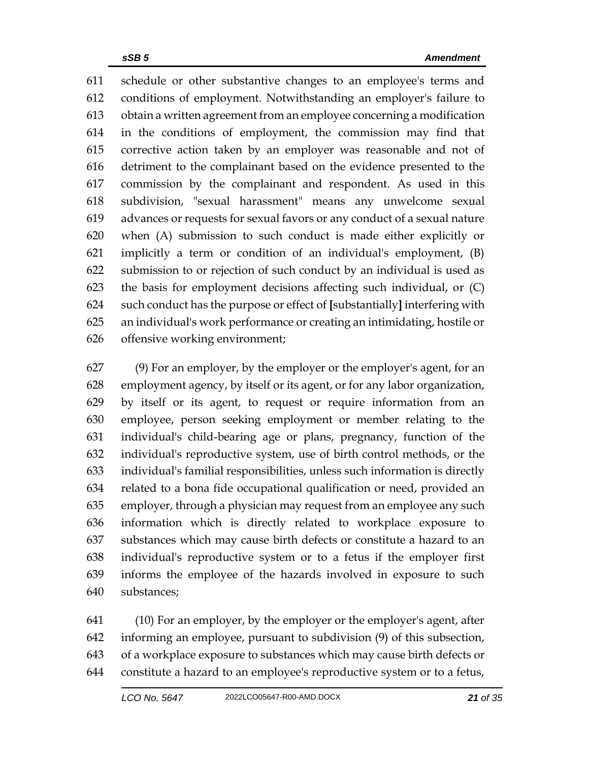schedule or other substantive changes to an employee's terms and conditions of employment. Notwithstanding an employer's failure to obtain a written agreement from an employee concerning a modification in the conditions of employment, the commission may find that corrective action taken by an employer was reasonable and not of detriment to the complainant based on the evidence presented to the commission by the complainant and respondent. As used in this subdivision, "sexual harassment" means any unwelcome sexual advances or requests for sexual favors or any conduct of a sexual nature when (A) submission to such conduct is made either explicitly or implicitly a term or condition of an individual's employment, (B) submission to or rejection of such conduct by an individual is used as the basis for employment decisions affecting such individual, or (C) such conduct has the purpose or effect of **[**substantially**]** interfering with an individual's work performance or creating an intimidating, hostile or offensive working environment;

 (9) For an employer, by the employer or the employer's agent, for an employment agency, by itself or its agent, or for any labor organization, by itself or its agent, to request or require information from an employee, person seeking employment or member relating to the individual's child-bearing age or plans, pregnancy, function of the individual's reproductive system, use of birth control methods, or the individual's familial responsibilities, unless such information is directly related to a bona fide occupational qualification or need, provided an employer, through a physician may request from an employee any such information which is directly related to workplace exposure to substances which may cause birth defects or constitute a hazard to an individual's reproductive system or to a fetus if the employer first informs the employee of the hazards involved in exposure to such substances;

 (10) For an employer, by the employer or the employer's agent, after informing an employee, pursuant to subdivision (9) of this subsection, of a workplace exposure to substances which may cause birth defects or constitute a hazard to an employee's reproductive system or to a fetus,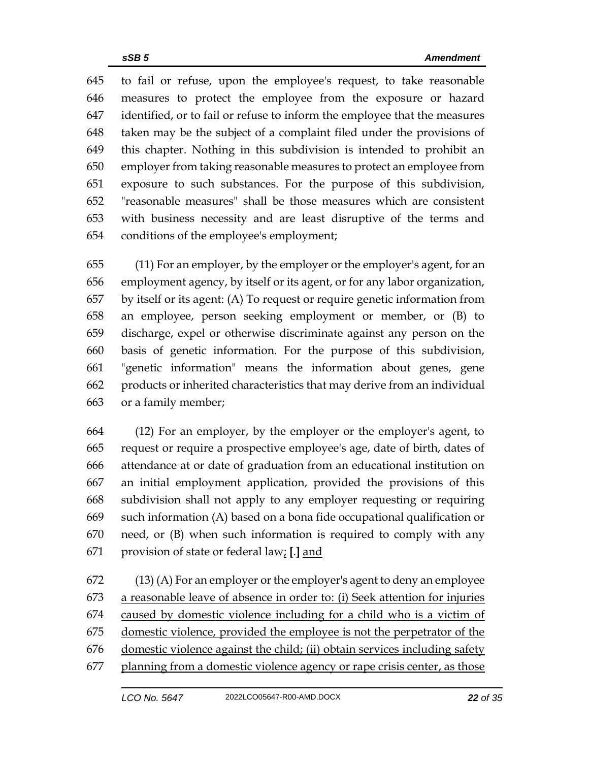to fail or refuse, upon the employee's request, to take reasonable measures to protect the employee from the exposure or hazard identified, or to fail or refuse to inform the employee that the measures taken may be the subject of a complaint filed under the provisions of this chapter. Nothing in this subdivision is intended to prohibit an employer from taking reasonable measures to protect an employee from exposure to such substances. For the purpose of this subdivision, "reasonable measures" shall be those measures which are consistent with business necessity and are least disruptive of the terms and conditions of the employee's employment;

 (11) For an employer, by the employer or the employer's agent, for an employment agency, by itself or its agent, or for any labor organization, by itself or its agent: (A) To request or require genetic information from an employee, person seeking employment or member, or (B) to discharge, expel or otherwise discriminate against any person on the basis of genetic information. For the purpose of this subdivision, "genetic information" means the information about genes, gene products or inherited characteristics that may derive from an individual or a family member;

 (12) For an employer, by the employer or the employer's agent, to request or require a prospective employee's age, date of birth, dates of attendance at or date of graduation from an educational institution on an initial employment application, provided the provisions of this subdivision shall not apply to any employer requesting or requiring such information (A) based on a bona fide occupational qualification or need, or (B) when such information is required to comply with any provision of state or federal law; **[**.**]** and

 $(13)$  (A) For an employer or the employer's agent to deny an employee a reasonable leave of absence in order to: (i) Seek attention for injuries caused by domestic violence including for a child who is a victim of domestic violence, provided the employee is not the perpetrator of the domestic violence against the child; (ii) obtain services including safety planning from a domestic violence agency or rape crisis center, as those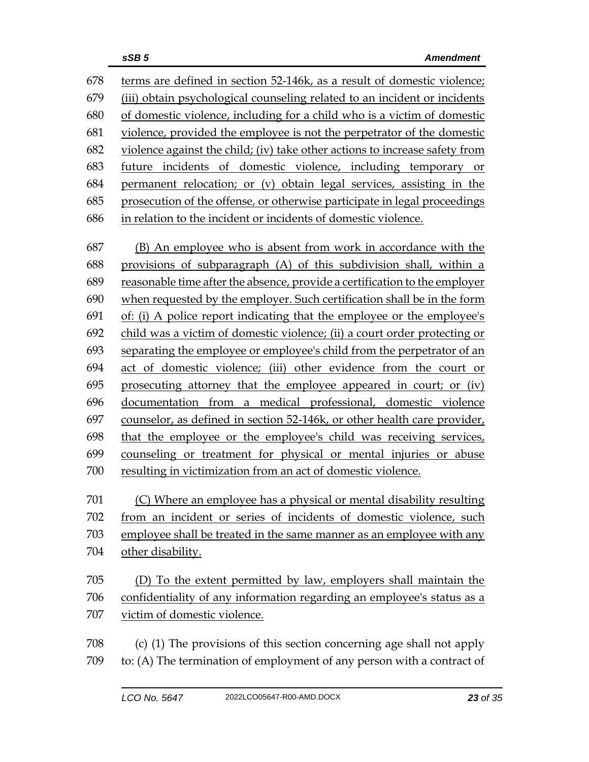terms are defined in section 52-146k, as a result of domestic violence; (iii) obtain psychological counseling related to an incident or incidents of domestic violence, including for a child who is a victim of domestic violence, provided the employee is not the perpetrator of the domestic violence against the child; (iv) take other actions to increase safety from future incidents of domestic violence, including temporary or permanent relocation; or (v) obtain legal services, assisting in the prosecution of the offense, or otherwise participate in legal proceedings in relation to the incident or incidents of domestic violence.

 (B) An employee who is absent from work in accordance with the provisions of subparagraph (A) of this subdivision shall, within a reasonable time after the absence, provide a certification to the employer when requested by the employer. Such certification shall be in the form of: (i) A police report indicating that the employee or the employee's child was a victim of domestic violence; (ii) a court order protecting or separating the employee or employee's child from the perpetrator of an act of domestic violence; (iii) other evidence from the court or prosecuting attorney that the employee appeared in court; or (iv) documentation from a medical professional, domestic violence counselor, as defined in section 52-146k, or other health care provider, that the employee or the employee's child was receiving services, counseling or treatment for physical or mental injuries or abuse resulting in victimization from an act of domestic violence.

(C) Where an employee has a physical or mental disability resulting

 from an incident or series of incidents of domestic violence, such employee shall be treated in the same manner as an employee with any other disability.

 (D) To the extent permitted by law, employers shall maintain the confidentiality of any information regarding an employee's status as a victim of domestic violence.

 (c) (1) The provisions of this section concerning age shall not apply to: (A) The termination of employment of any person with a contract of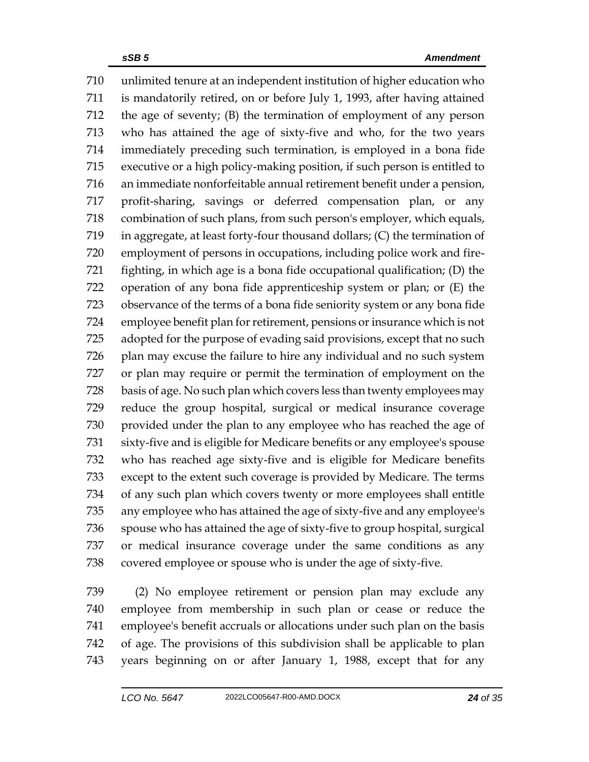unlimited tenure at an independent institution of higher education who is mandatorily retired, on or before July 1, 1993, after having attained the age of seventy; (B) the termination of employment of any person who has attained the age of sixty-five and who, for the two years immediately preceding such termination, is employed in a bona fide executive or a high policy-making position, if such person is entitled to an immediate nonforfeitable annual retirement benefit under a pension, profit-sharing, savings or deferred compensation plan, or any combination of such plans, from such person's employer, which equals, in aggregate, at least forty-four thousand dollars; (C) the termination of employment of persons in occupations, including police work and fire- fighting, in which age is a bona fide occupational qualification; (D) the operation of any bona fide apprenticeship system or plan; or (E) the observance of the terms of a bona fide seniority system or any bona fide employee benefit plan for retirement, pensions or insurance which is not adopted for the purpose of evading said provisions, except that no such plan may excuse the failure to hire any individual and no such system or plan may require or permit the termination of employment on the basis of age. No such plan which covers less than twenty employees may reduce the group hospital, surgical or medical insurance coverage provided under the plan to any employee who has reached the age of sixty-five and is eligible for Medicare benefits or any employee's spouse who has reached age sixty-five and is eligible for Medicare benefits except to the extent such coverage is provided by Medicare. The terms of any such plan which covers twenty or more employees shall entitle any employee who has attained the age of sixty-five and any employee's spouse who has attained the age of sixty-five to group hospital, surgical or medical insurance coverage under the same conditions as any covered employee or spouse who is under the age of sixty-five.

 (2) No employee retirement or pension plan may exclude any employee from membership in such plan or cease or reduce the employee's benefit accruals or allocations under such plan on the basis of age. The provisions of this subdivision shall be applicable to plan years beginning on or after January 1, 1988, except that for any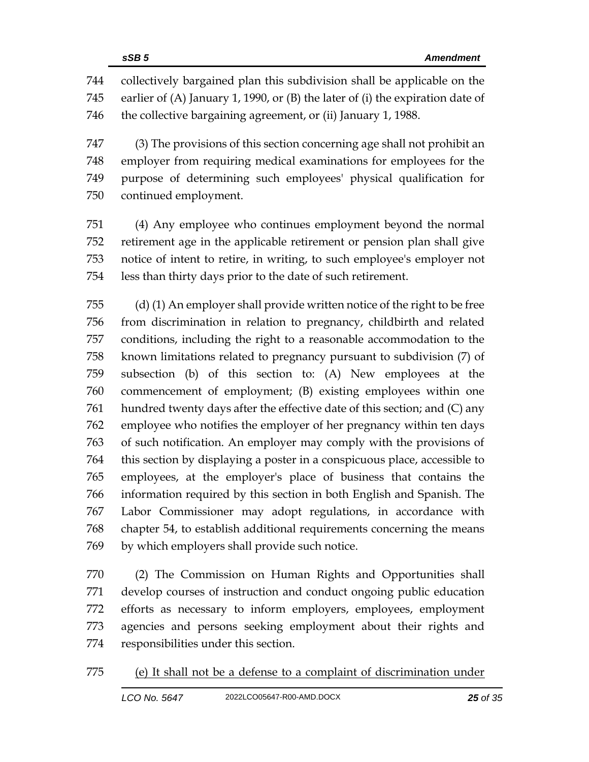collectively bargained plan this subdivision shall be applicable on the earlier of (A) January 1, 1990, or (B) the later of (i) the expiration date of the collective bargaining agreement, or (ii) January 1, 1988.

 (3) The provisions of this section concerning age shall not prohibit an employer from requiring medical examinations for employees for the purpose of determining such employees' physical qualification for continued employment.

 (4) Any employee who continues employment beyond the normal retirement age in the applicable retirement or pension plan shall give notice of intent to retire, in writing, to such employee's employer not less than thirty days prior to the date of such retirement.

 (d) (1) An employer shall provide written notice of the right to be free from discrimination in relation to pregnancy, childbirth and related conditions, including the right to a reasonable accommodation to the known limitations related to pregnancy pursuant to subdivision (7) of subsection (b) of this section to: (A) New employees at the commencement of employment; (B) existing employees within one hundred twenty days after the effective date of this section; and (C) any employee who notifies the employer of her pregnancy within ten days of such notification. An employer may comply with the provisions of this section by displaying a poster in a conspicuous place, accessible to employees, at the employer's place of business that contains the information required by this section in both English and Spanish. The Labor Commissioner may adopt regulations, in accordance with chapter 54, to establish additional requirements concerning the means by which employers shall provide such notice.

 (2) The Commission on Human Rights and Opportunities shall develop courses of instruction and conduct ongoing public education efforts as necessary to inform employers, employees, employment agencies and persons seeking employment about their rights and responsibilities under this section.

(e) It shall not be a defense to a complaint of discrimination under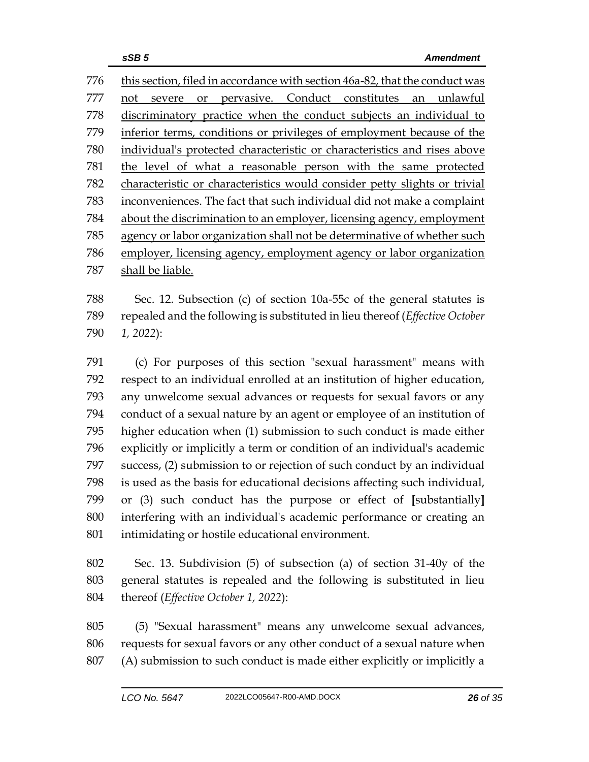this section, filed in accordance with section 46a-82, that the conduct was not severe or pervasive. Conduct constitutes an unlawful discriminatory practice when the conduct subjects an individual to inferior terms, conditions or privileges of employment because of the individual's protected characteristic or characteristics and rises above the level of what a reasonable person with the same protected characteristic or characteristics would consider petty slights or trivial inconveniences. The fact that such individual did not make a complaint about the discrimination to an employer, licensing agency, employment agency or labor organization shall not be determinative of whether such employer, licensing agency, employment agency or labor organization shall be liable.

 Sec. 12. Subsection (c) of section 10a-55c of the general statutes is repealed and the following is substituted in lieu thereof (*Effective October 1, 2022*):

 (c) For purposes of this section "sexual harassment" means with respect to an individual enrolled at an institution of higher education, any unwelcome sexual advances or requests for sexual favors or any conduct of a sexual nature by an agent or employee of an institution of higher education when (1) submission to such conduct is made either explicitly or implicitly a term or condition of an individual's academic success, (2) submission to or rejection of such conduct by an individual is used as the basis for educational decisions affecting such individual, or (3) such conduct has the purpose or effect of **[**substantially**]** interfering with an individual's academic performance or creating an intimidating or hostile educational environment.

 Sec. 13. Subdivision (5) of subsection (a) of section 31-40y of the general statutes is repealed and the following is substituted in lieu thereof (*Effective October 1, 2022*):

 (5) "Sexual harassment" means any unwelcome sexual advances, requests for sexual favors or any other conduct of a sexual nature when (A) submission to such conduct is made either explicitly or implicitly a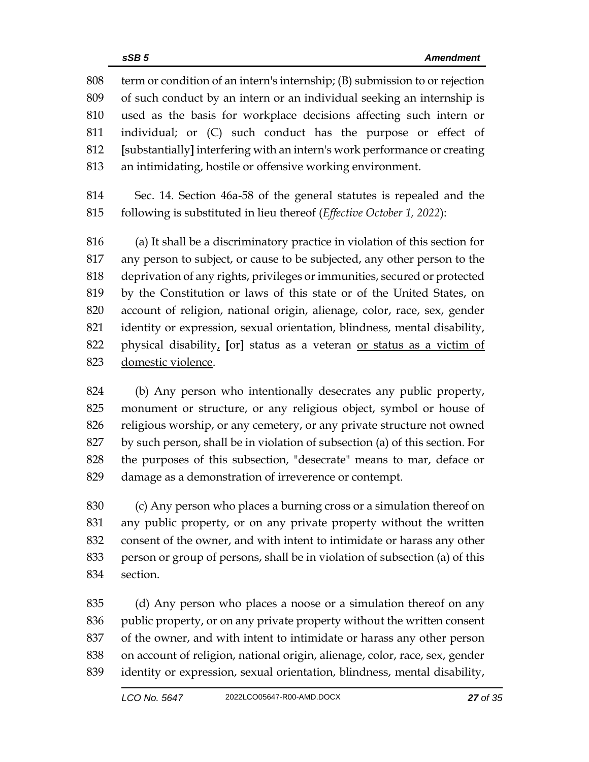term or condition of an intern's internship; (B) submission to or rejection of such conduct by an intern or an individual seeking an internship is used as the basis for workplace decisions affecting such intern or individual; or (C) such conduct has the purpose or effect of **[**substantially**]** interfering with an intern's work performance or creating an intimidating, hostile or offensive working environment.

 Sec. 14. Section 46a-58 of the general statutes is repealed and the following is substituted in lieu thereof (*Effective October 1, 2022*):

 (a) It shall be a discriminatory practice in violation of this section for any person to subject, or cause to be subjected, any other person to the deprivation of any rights, privileges or immunities, secured or protected by the Constitution or laws of this state or of the United States, on account of religion, national origin, alienage, color, race, sex, gender identity or expression, sexual orientation, blindness, mental disability, physical disability, **[**or**]** status as a veteran or status as a victim of domestic violence.

 (b) Any person who intentionally desecrates any public property, monument or structure, or any religious object, symbol or house of religious worship, or any cemetery, or any private structure not owned by such person, shall be in violation of subsection (a) of this section. For the purposes of this subsection, "desecrate" means to mar, deface or damage as a demonstration of irreverence or contempt.

 (c) Any person who places a burning cross or a simulation thereof on any public property, or on any private property without the written consent of the owner, and with intent to intimidate or harass any other person or group of persons, shall be in violation of subsection (a) of this section.

 (d) Any person who places a noose or a simulation thereof on any public property, or on any private property without the written consent of the owner, and with intent to intimidate or harass any other person on account of religion, national origin, alienage, color, race, sex, gender identity or expression, sexual orientation, blindness, mental disability,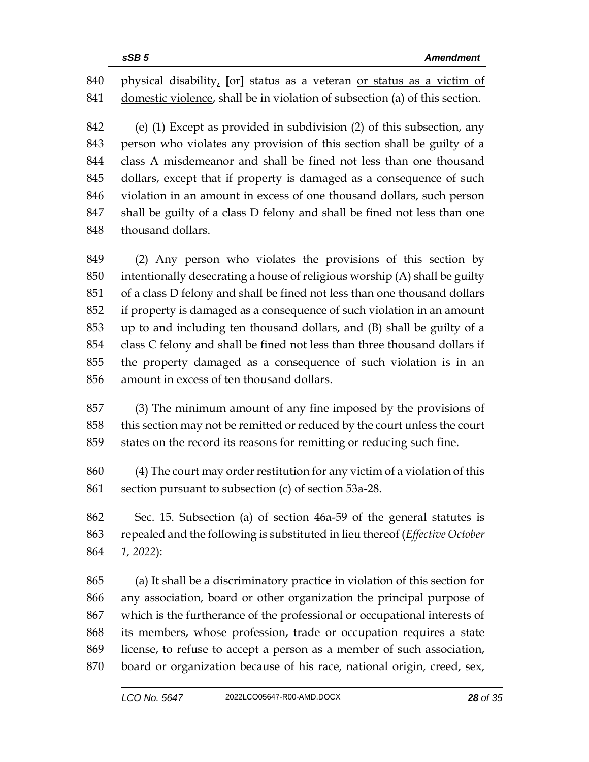physical disability, **[**or**]** status as a veteran or status as a victim of domestic violence, shall be in violation of subsection (a) of this section.

 (e) (1) Except as provided in subdivision (2) of this subsection, any person who violates any provision of this section shall be guilty of a class A misdemeanor and shall be fined not less than one thousand dollars, except that if property is damaged as a consequence of such violation in an amount in excess of one thousand dollars, such person shall be guilty of a class D felony and shall be fined not less than one thousand dollars.

 (2) Any person who violates the provisions of this section by intentionally desecrating a house of religious worship (A) shall be guilty of a class D felony and shall be fined not less than one thousand dollars if property is damaged as a consequence of such violation in an amount up to and including ten thousand dollars, and (B) shall be guilty of a class C felony and shall be fined not less than three thousand dollars if the property damaged as a consequence of such violation is in an amount in excess of ten thousand dollars.

 (3) The minimum amount of any fine imposed by the provisions of this section may not be remitted or reduced by the court unless the court states on the record its reasons for remitting or reducing such fine.

 (4) The court may order restitution for any victim of a violation of this section pursuant to subsection (c) of section 53a-28.

 Sec. 15. Subsection (a) of section 46a-59 of the general statutes is repealed and the following is substituted in lieu thereof (*Effective October 1, 2022*):

 (a) It shall be a discriminatory practice in violation of this section for any association, board or other organization the principal purpose of which is the furtherance of the professional or occupational interests of its members, whose profession, trade or occupation requires a state license, to refuse to accept a person as a member of such association, board or organization because of his race, national origin, creed, sex,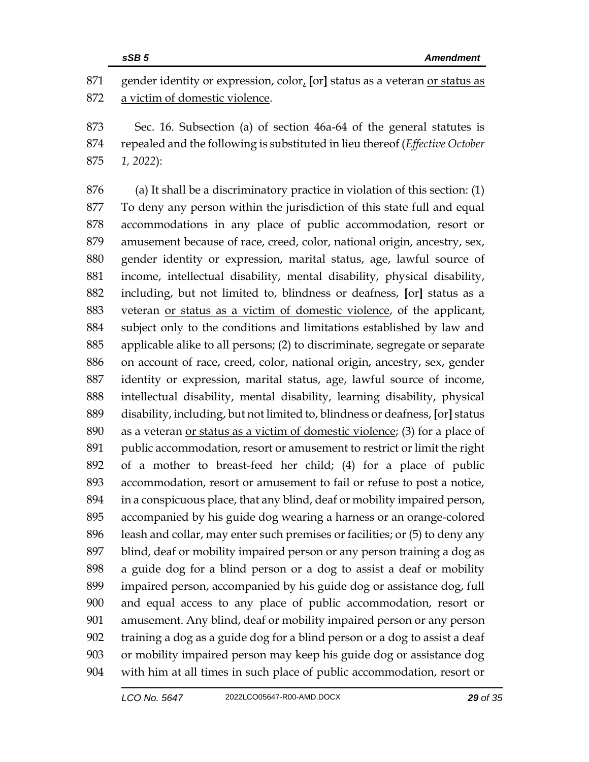gender identity or expression, color, **[**or**]** status as a veteran or status as a victim of domestic violence.

 Sec. 16. Subsection (a) of section 46a-64 of the general statutes is repealed and the following is substituted in lieu thereof (*Effective October 1, 2022*):

 (a) It shall be a discriminatory practice in violation of this section: (1) To deny any person within the jurisdiction of this state full and equal accommodations in any place of public accommodation, resort or amusement because of race, creed, color, national origin, ancestry, sex, gender identity or expression, marital status, age, lawful source of income, intellectual disability, mental disability, physical disability, including, but not limited to, blindness or deafness, **[**or**]** status as a veteran or status as a victim of domestic violence, of the applicant, subject only to the conditions and limitations established by law and applicable alike to all persons; (2) to discriminate, segregate or separate on account of race, creed, color, national origin, ancestry, sex, gender identity or expression, marital status, age, lawful source of income, intellectual disability, mental disability, learning disability, physical disability, including, but not limited to, blindness or deafness, **[**or**]** status as a veteran or status as a victim of domestic violence; (3) for a place of public accommodation, resort or amusement to restrict or limit the right of a mother to breast-feed her child; (4) for a place of public accommodation, resort or amusement to fail or refuse to post a notice, in a conspicuous place, that any blind, deaf or mobility impaired person, accompanied by his guide dog wearing a harness or an orange-colored leash and collar, may enter such premises or facilities; or (5) to deny any blind, deaf or mobility impaired person or any person training a dog as a guide dog for a blind person or a dog to assist a deaf or mobility impaired person, accompanied by his guide dog or assistance dog, full and equal access to any place of public accommodation, resort or amusement. Any blind, deaf or mobility impaired person or any person training a dog as a guide dog for a blind person or a dog to assist a deaf or mobility impaired person may keep his guide dog or assistance dog with him at all times in such place of public accommodation, resort or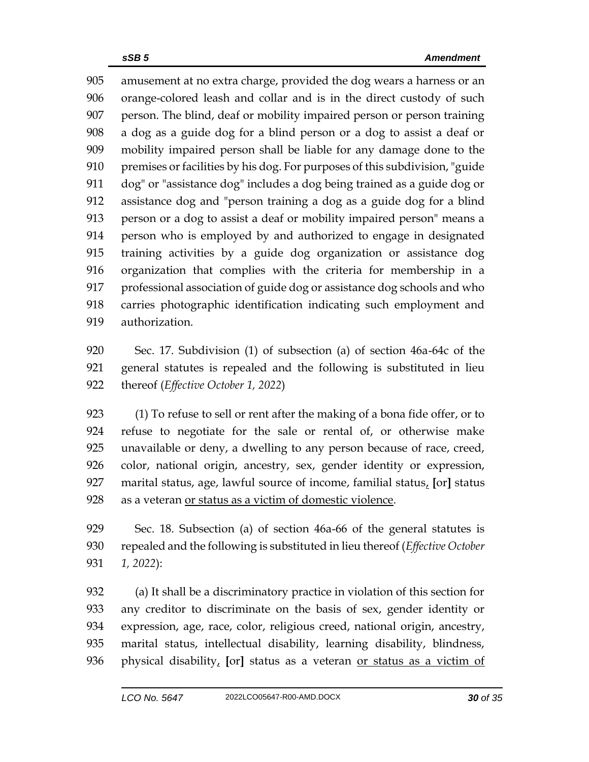amusement at no extra charge, provided the dog wears a harness or an orange-colored leash and collar and is in the direct custody of such person. The blind, deaf or mobility impaired person or person training a dog as a guide dog for a blind person or a dog to assist a deaf or mobility impaired person shall be liable for any damage done to the premises or facilities by his dog. For purposes of this subdivision, "guide dog" or "assistance dog" includes a dog being trained as a guide dog or assistance dog and "person training a dog as a guide dog for a blind person or a dog to assist a deaf or mobility impaired person" means a person who is employed by and authorized to engage in designated training activities by a guide dog organization or assistance dog organization that complies with the criteria for membership in a professional association of guide dog or assistance dog schools and who carries photographic identification indicating such employment and authorization.

 Sec. 17. Subdivision (1) of subsection (a) of section 46a-64c of the general statutes is repealed and the following is substituted in lieu thereof (*Effective October 1, 2022*)

 (1) To refuse to sell or rent after the making of a bona fide offer, or to refuse to negotiate for the sale or rental of, or otherwise make unavailable or deny, a dwelling to any person because of race, creed, color, national origin, ancestry, sex, gender identity or expression, marital status, age, lawful source of income, familial status, **[**or**]** status as a veteran or status as a victim of domestic violence.

 Sec. 18. Subsection (a) of section 46a-66 of the general statutes is repealed and the following is substituted in lieu thereof (*Effective October 1, 2022*):

 (a) It shall be a discriminatory practice in violation of this section for any creditor to discriminate on the basis of sex, gender identity or expression, age, race, color, religious creed, national origin, ancestry, marital status, intellectual disability, learning disability, blindness, physical disability, **[**or**]** status as a veteran or status as a victim of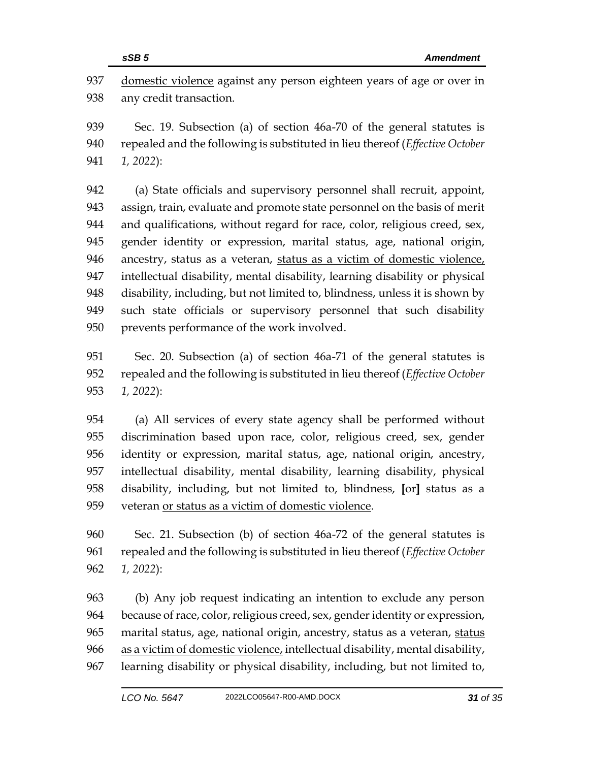domestic violence against any person eighteen years of age or over in any credit transaction.

 Sec. 19. Subsection (a) of section 46a-70 of the general statutes is repealed and the following is substituted in lieu thereof (*Effective October 1, 2022*):

 (a) State officials and supervisory personnel shall recruit, appoint, assign, train, evaluate and promote state personnel on the basis of merit and qualifications, without regard for race, color, religious creed, sex, gender identity or expression, marital status, age, national origin, ancestry, status as a veteran, status as a victim of domestic violence, intellectual disability, mental disability, learning disability or physical disability, including, but not limited to, blindness, unless it is shown by such state officials or supervisory personnel that such disability prevents performance of the work involved.

 Sec. 20. Subsection (a) of section 46a-71 of the general statutes is repealed and the following is substituted in lieu thereof (*Effective October 1, 2022*):

 (a) All services of every state agency shall be performed without discrimination based upon race, color, religious creed, sex, gender identity or expression, marital status, age, national origin, ancestry, intellectual disability, mental disability, learning disability, physical disability, including, but not limited to, blindness, **[**or**]** status as a veteran or status as a victim of domestic violence.

 Sec. 21. Subsection (b) of section 46a-72 of the general statutes is repealed and the following is substituted in lieu thereof (*Effective October 1, 2022*):

 (b) Any job request indicating an intention to exclude any person because of race, color, religious creed, sex, gender identity or expression, 965 marital status, age, national origin, ancestry, status as a veteran, status as a victim of domestic violence, intellectual disability, mental disability, learning disability or physical disability, including, but not limited to,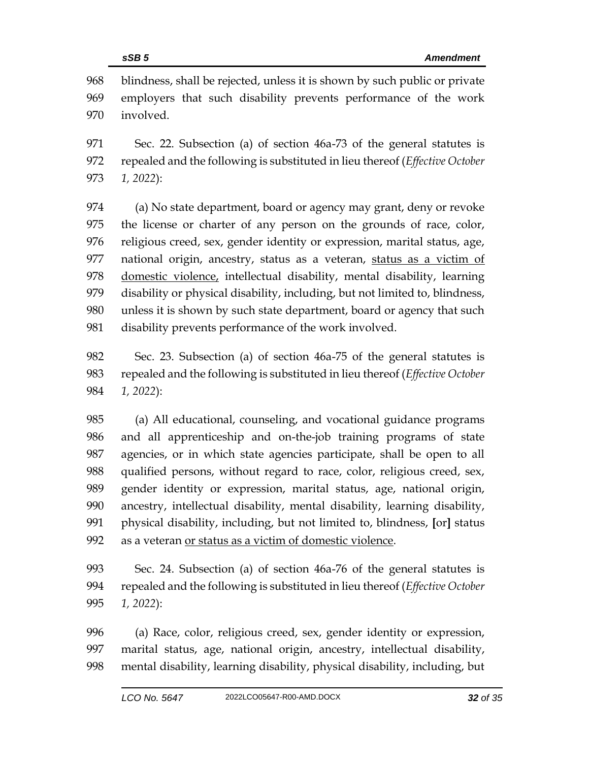blindness, shall be rejected, unless it is shown by such public or private employers that such disability prevents performance of the work involved.

 Sec. 22. Subsection (a) of section 46a-73 of the general statutes is repealed and the following is substituted in lieu thereof (*Effective October 1, 2022*):

 (a) No state department, board or agency may grant, deny or revoke the license or charter of any person on the grounds of race, color, religious creed, sex, gender identity or expression, marital status, age, national origin, ancestry, status as a veteran, status as a victim of domestic violence, intellectual disability, mental disability, learning disability or physical disability, including, but not limited to, blindness, unless it is shown by such state department, board or agency that such disability prevents performance of the work involved.

 Sec. 23. Subsection (a) of section 46a-75 of the general statutes is repealed and the following is substituted in lieu thereof (*Effective October 1, 2022*):

 (a) All educational, counseling, and vocational guidance programs and all apprenticeship and on-the-job training programs of state agencies, or in which state agencies participate, shall be open to all qualified persons, without regard to race, color, religious creed, sex, gender identity or expression, marital status, age, national origin, ancestry, intellectual disability, mental disability, learning disability, physical disability, including, but not limited to, blindness, **[**or**]** status as a veteran or status as a victim of domestic violence.

 Sec. 24. Subsection (a) of section 46a-76 of the general statutes is repealed and the following is substituted in lieu thereof (*Effective October 1, 2022*):

 (a) Race, color, religious creed, sex, gender identity or expression, marital status, age, national origin, ancestry, intellectual disability, mental disability, learning disability, physical disability, including, but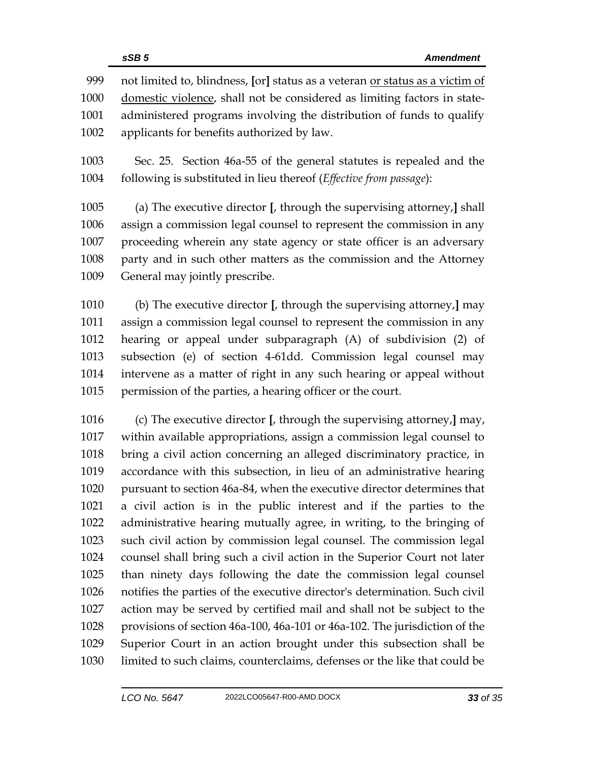not limited to, blindness, **[**or**]** status as a veteran or status as a victim of domestic violence, shall not be considered as limiting factors in state- administered programs involving the distribution of funds to qualify applicants for benefits authorized by law.

 Sec. 25. Section 46a-55 of the general statutes is repealed and the following is substituted in lieu thereof (*Effective from passage*):

 (a) The executive director **[**, through the supervising attorney,**]** shall assign a commission legal counsel to represent the commission in any proceeding wherein any state agency or state officer is an adversary party and in such other matters as the commission and the Attorney General may jointly prescribe.

 (b) The executive director **[**, through the supervising attorney,**]** may assign a commission legal counsel to represent the commission in any hearing or appeal under subparagraph (A) of subdivision (2) of subsection (e) of section 4-61dd. Commission legal counsel may intervene as a matter of right in any such hearing or appeal without permission of the parties, a hearing officer or the court.

 (c) The executive director **[**, through the supervising attorney,**]** may, within available appropriations, assign a commission legal counsel to bring a civil action concerning an alleged discriminatory practice, in accordance with this subsection, in lieu of an administrative hearing pursuant to section 46a-84, when the executive director determines that a civil action is in the public interest and if the parties to the administrative hearing mutually agree, in writing, to the bringing of such civil action by commission legal counsel. The commission legal counsel shall bring such a civil action in the Superior Court not later than ninety days following the date the commission legal counsel notifies the parties of the executive director's determination. Such civil action may be served by certified mail and shall not be subject to the provisions of section 46a-100, 46a-101 or 46a-102. The jurisdiction of the Superior Court in an action brought under this subsection shall be limited to such claims, counterclaims, defenses or the like that could be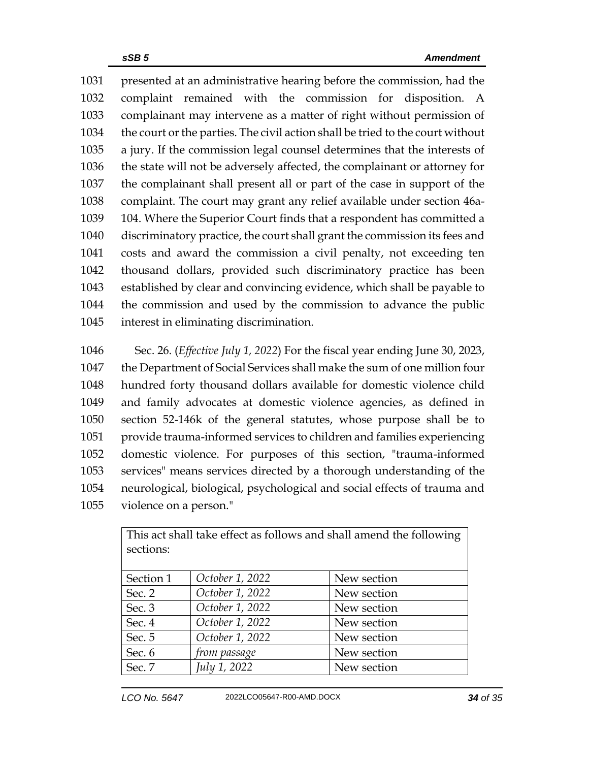presented at an administrative hearing before the commission, had the complaint remained with the commission for disposition. A complainant may intervene as a matter of right without permission of the court or the parties. The civil action shall be tried to the court without a jury. If the commission legal counsel determines that the interests of the state will not be adversely affected, the complainant or attorney for the complainant shall present all or part of the case in support of the complaint. The court may grant any relief available under section 46a- 104. Where the Superior Court finds that a respondent has committed a discriminatory practice, the court shall grant the commission its fees and costs and award the commission a civil penalty, not exceeding ten thousand dollars, provided such discriminatory practice has been established by clear and convincing evidence, which shall be payable to the commission and used by the commission to advance the public interest in eliminating discrimination.

 Sec. 26. (*Effective July 1, 2022*) For the fiscal year ending June 30, 2023, the Department of Social Services shall make the sum of one million four hundred forty thousand dollars available for domestic violence child and family advocates at domestic violence agencies, as defined in section 52-146k of the general statutes, whose purpose shall be to provide trauma-informed services to children and families experiencing domestic violence. For purposes of this section, "trauma-informed services" means services directed by a thorough understanding of the neurological, biological, psychological and social effects of trauma and violence on a person."

| This act shall take effect as follows and shall amend the following |                 |             |  |  |  |
|---------------------------------------------------------------------|-----------------|-------------|--|--|--|
| sections:                                                           |                 |             |  |  |  |
|                                                                     |                 |             |  |  |  |
| Section 1                                                           | October 1, 2022 | New section |  |  |  |
| Sec. 2                                                              | October 1, 2022 | New section |  |  |  |
| Sec. 3                                                              | October 1, 2022 | New section |  |  |  |
| Sec. 4                                                              | October 1, 2022 | New section |  |  |  |
| Sec. 5                                                              | October 1, 2022 | New section |  |  |  |
| Sec. 6                                                              | from passage    | New section |  |  |  |
| Sec. 7                                                              | July 1, 2022    | New section |  |  |  |